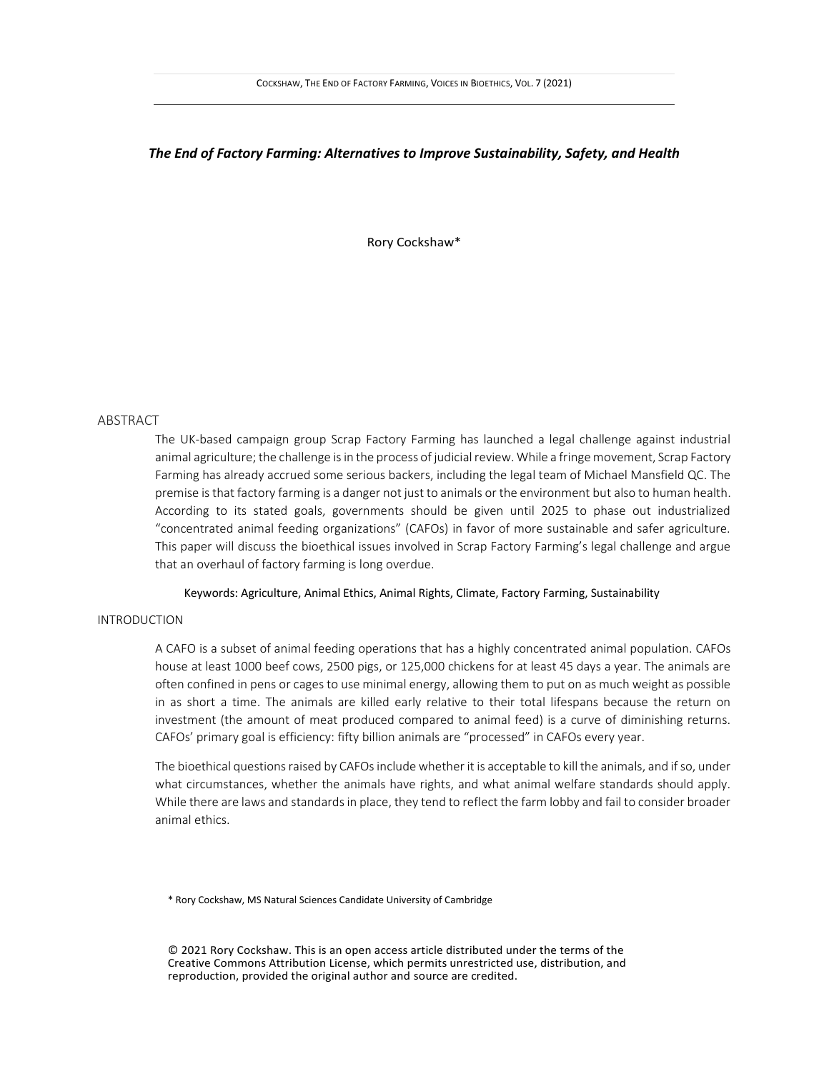## *The End of Factory Farming: Alternatives to Improve Sustainability, Safety, and Health*

Rory Cockshaw\*

### ABSTRACT

The UK-based campaign group Scrap Factory Farming has launched a legal challenge against industrial animal agriculture; the challenge is in the process of judicial review. While a fringe movement, Scrap Factory Farming has already accrued some serious backers, including the legal team of Michael Mansfield QC. The premise is that factory farming is a danger not just to animals or the environment but also to human health. According to its stated goals, governments should be given until 2025 to phase out industrialized "concentrated animal feeding organizations" (CAFOs) in favor of more sustainable and safer agriculture. This paper will discuss the bioethical issues involved in Scrap Factory Farming's legal challenge and argue that an overhaul of factory farming is long overdue.

Keywords: Agriculture, Animal Ethics, Animal Rights, Climate, Factory Farming, Sustainability

# INTRODUCTION

A CAFO is a subset of animal feeding operations that has a highly concentrated animal population. CAFOs house at least 1000 beef cows, 2500 pigs, or 125,000 chickens for at least 45 days a year. The animals are often confined in pens or cages to use minimal energy, allowing them to put on as much weight as possible in as short a time. The animals are killed early relative to their total lifespans because the return on investment (the amount of meat produced compared to animal feed) is a curve of diminishing returns. CAFOs' primary goal is efficiency: fifty billion animals are "processed" in CAFOs every year.

The bioethical questions raised by CAFOs include whether it is acceptable to kill the animals, and if so, under what circumstances, whether the animals have rights, and what animal welfare standards should apply. While there are laws and standards in place, they tend to reflect the farm lobby and fail to consider broader animal ethics.

\* Rory Cockshaw, MS Natural Sciences Candidate University of Cambridge

© 2021 Rory Cockshaw. This is an open access article distributed under the terms of the Creative Commons Attribution License, which permits unrestricted use, distribution, and reproduction, provided the original author and source are credited.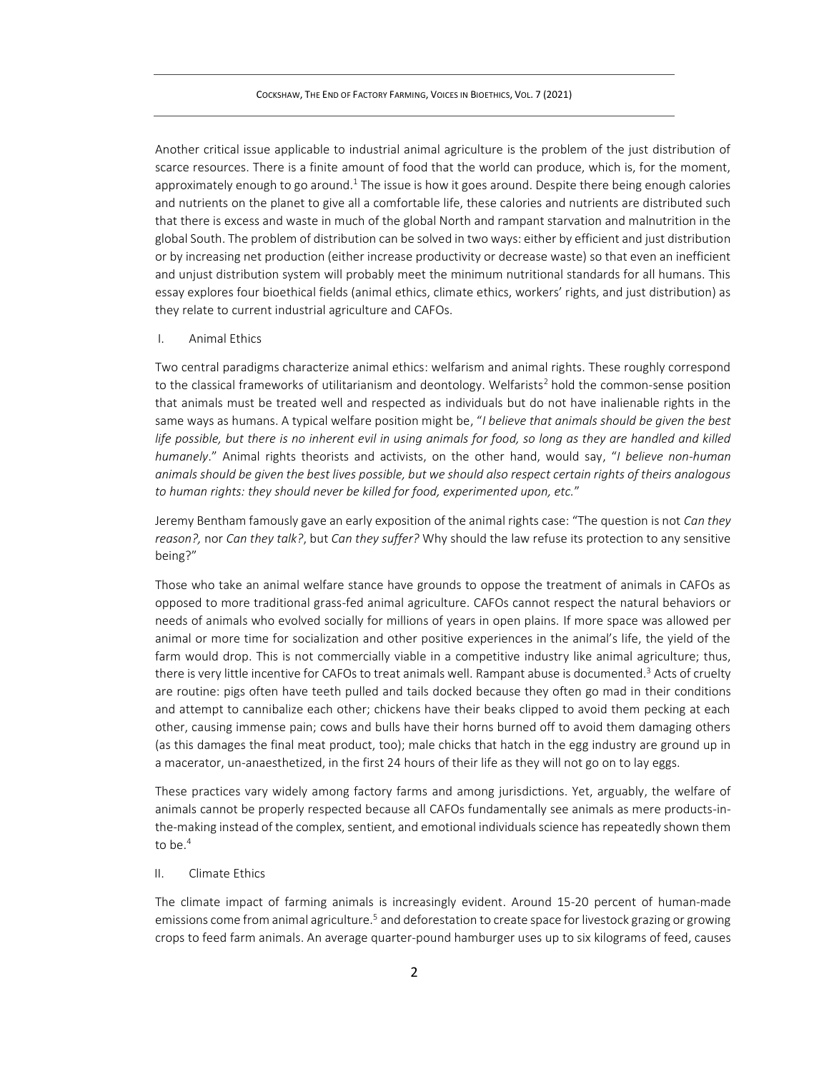Another critical issue applicable to industrial animal agriculture is the problem of the just distribution of scarce resources. There is a finite amount of food that the world can produce, which is, for the moment, approximately enough to go around.<sup>1</sup> The issue is how it goes around. Despite there being enough calories and nutrients on the planet to give all a comfortable life, these calories and nutrients are distributed such that there is excess and waste in much of the global North and rampant starvation and malnutrition in the global South. The problem of distribution can be solved in two ways: either by efficient and just distribution or by increasing net production (either increase productivity or decrease waste) so that even an inefficient and unjust distribution system will probably meet the minimum nutritional standards for all humans. This essay explores four bioethical fields (animal ethics, climate ethics, workers' rights, and just distribution) as they relate to current industrial agriculture and CAFOs.

#### I. Animal Ethics

Two central paradigms characterize animal ethics: welfarism and animal rights. These roughly correspond to the classical frameworks of utilitarianism and deontology. Welfarists<sup>2</sup> hold the common-sense position that animals must be treated well and respected as individuals but do not have inalienable rights in the same ways as humans. A typical welfare position might be, "*I believe that animals should be given the best*  life possible, but there is no inherent evil in using animals for food, so long as they are handled and killed *humanely*." Animal rights theorists and activists, on the other hand, would say, "*I believe non-human animals should be given the best lives possible, but we should also respect certain rights of theirs analogous to human rights: they should never be killed for food, experimented upon, etc.*"

Jeremy Bentham famously gave an early exposition of the animal rights case: "The question is not *Can they reason?,* nor *Can they talk?*, but *Can they suffer?* Why should the law refuse its protection to any sensitive being?"

Those who take an animal welfare stance have grounds to oppose the treatment of animals in CAFOs as opposed to more traditional grass-fed animal agriculture. CAFOs cannot respect the natural behaviors or needs of animals who evolved socially for millions of years in open plains. If more space was allowed per animal or more time for socialization and other positive experiences in the animal's life, the yield of the farm would drop. This is not commercially viable in a competitive industry like animal agriculture; thus, there is very little incentive for CAFOs to treat animals well. Rampant abuse is documented.<sup>3</sup> Acts of cruelty are routine: pigs often have teeth pulled and tails docked because they often go mad in their conditions and attempt to cannibalize each other; chickens have their beaks clipped to avoid them pecking at each other, causing immense pain; cows and bulls have their horns burned off to avoid them damaging others (as this damages the final meat product, too); male chicks that hatch in the egg industry are ground up in a macerator, un-anaesthetized, in the first 24 hours of their life as they will not go on to lay eggs.

These practices vary widely among factory farms and among jurisdictions. Yet, arguably, the welfare of animals cannot be properly respected because all CAFOs fundamentally see animals as mere products-inthe-making instead of the complex, sentient, and emotional individuals science has repeatedly shown them to be. 4

#### II. Climate Ethics

The climate impact of farming animals is increasingly evident. Around 15-20 percent of human-made emissions come from animal agriculture.<sup>5</sup> and deforestation to create space for livestock grazing or growing crops to feed farm animals. An average quarter-pound hamburger uses up to six kilograms of feed, causes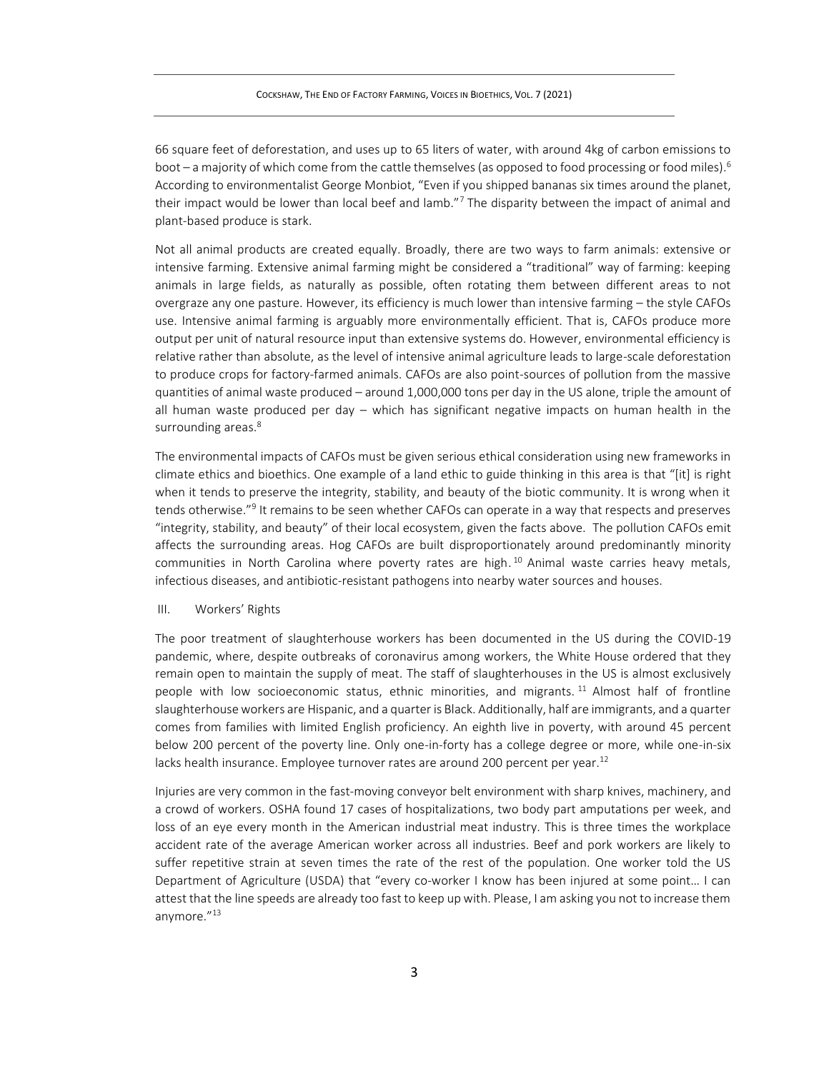#### COCKSHAW, THE END OF FACTORY FARMING, VOICES IN BIOETHICS, VOL. 7 (2021)

66 square feet of deforestation, and uses up to 65 liters of water, with around 4kg of carbon emissions to boot – a majority of which come from the cattle themselves (as opposed to food processing or food miles).<sup>6</sup> According to environmentalist George Monbiot, "Even if you shipped bananas six times around the planet, their impact would be lower than local beef and lamb."<sup>7</sup> The disparity between the impact of animal and plant-based produce is stark.

Not all animal products are created equally. Broadly, there are two ways to farm animals: extensive or intensive farming. Extensive animal farming might be considered a "traditional" way of farming: keeping animals in large fields, as naturally as possible, often rotating them between different areas to not overgraze any one pasture. However, its efficiency is much lower than intensive farming – the style CAFOs use. Intensive animal farming is arguably more environmentally efficient. That is, CAFOs produce more output per unit of natural resource input than extensive systems do. However, environmental efficiency is relative rather than absolute, as the level of intensive animal agriculture leads to large-scale deforestation to produce crops for factory-farmed animals. CAFOs are also point-sources of pollution from the massive quantities of animal waste produced – around 1,000,000 tons per day in the US alone, triple the amount of all human waste produced per day – which has significant negative impacts on human health in the surrounding areas.<sup>8</sup>

The environmental impacts of CAFOs must be given serious ethical consideration using new frameworks in climate ethics and bioethics. One example of a land ethic to guide thinking in this area is that "[it] is right when it tends to preserve the integrity, stability, and beauty of the biotic community. It is wrong when it tends otherwise."<sup>9</sup> It remains to be seen whether CAFOs can operate in a way that respects and preserves "integrity, stability, and beauty" of their local ecosystem, given the facts above. The pollution CAFOs emit affects the surrounding areas. Hog CAFOs are built disproportionately around predominantly minority communities in North Carolina where poverty rates are high. <sup>10</sup> Animal waste carries heavy metals, infectious diseases, and antibiotic-resistant pathogens into nearby water sources and houses.

### III. Workers' Rights

The poor treatment of slaughterhouse workers has been documented in the US during the COVID-19 pandemic, where, despite outbreaks of coronavirus among workers, the White House ordered that they remain open to maintain the supply of meat. The staff of slaughterhouses in the US is almost exclusively people with low socioeconomic status, ethnic minorities, and migrants.<sup>11</sup> Almost half of frontline slaughterhouse workers are Hispanic, and a quarter is Black. Additionally, half are immigrants, and a quarter comes from families with limited English proficiency. An eighth live in poverty, with around 45 percent below 200 percent of the poverty line. Only one-in-forty has a college degree or more, while one-in-six lacks health insurance. Employee turnover rates are around 200 percent per year.<sup>12</sup>

Injuries are very common in the fast-moving conveyor belt environment with sharp knives, machinery, and a crowd of workers. OSHA found 17 cases of hospitalizations, two body part amputations per week, and loss of an eye every month in the American industrial meat industry. This is three times the workplace accident rate of the average American worker across all industries. Beef and pork workers are likely to suffer repetitive strain at seven times the rate of the rest of the population. One worker told the US Department of Agriculture (USDA) that "every co-worker I know has been injured at some point… I can attest that the line speeds are already too fast to keep up with. Please, I am asking you not to increase them anymore."13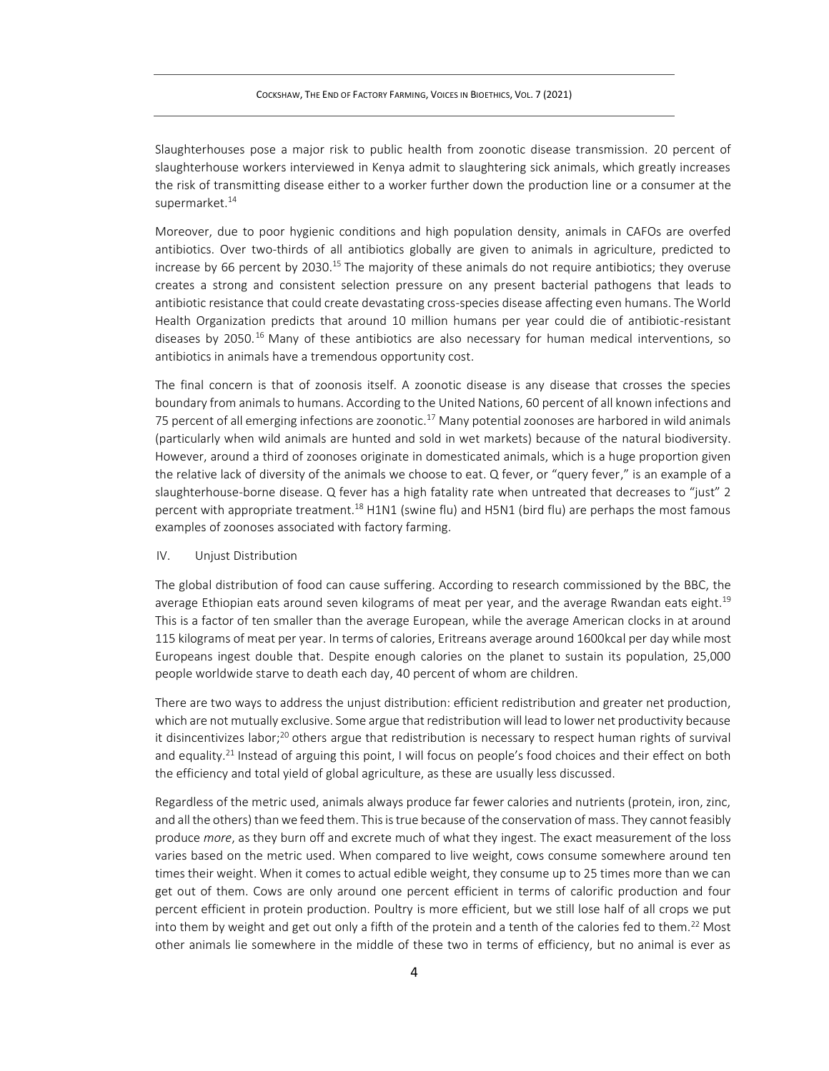Slaughterhouses pose a major risk to public health from zoonotic disease transmission. 20 percent of slaughterhouse workers interviewed in Kenya admit to slaughtering sick animals, which greatly increases the risk of transmitting disease either to a worker further down the production line or a consumer at the supermarket. 14

Moreover, due to poor hygienic conditions and high population density, animals in CAFOs are overfed antibiotics. Over two-thirds of all antibiotics globally are given to animals in agriculture, predicted to increase by 66 percent by 2030.<sup>15</sup> The majority of these animals do not require antibiotics; they overuse creates a strong and consistent selection pressure on any present bacterial pathogens that leads to antibiotic resistance that could create devastating cross-species disease affecting even humans. The World Health Organization predicts that around 10 million humans per year could die of antibiotic-resistant diseases by 2050.<sup>16</sup> Many of these antibiotics are also necessary for human medical interventions, so antibiotics in animals have a tremendous opportunity cost.

The final concern is that of zoonosis itself. A zoonotic disease is any disease that crosses the species boundary from animals to humans. According to the United Nations, 60 percent of all known infections and 75 percent of all emerging infections are zoonotic.<sup>17</sup> Many potential zoonoses are harbored in wild animals (particularly when wild animals are hunted and sold in wet markets) because of the natural biodiversity. However, around a third of zoonoses originate in domesticated animals, which is a huge proportion given the relative lack of diversity of the animals we choose to eat. Q fever, or "query fever," is an example of a slaughterhouse-borne disease. Q fever has a high fatality rate when untreated that decreases to "just" 2 percent with appropriate treatment.<sup>18</sup> H1N1 (swine flu) and H5N1 (bird flu) are perhaps the most famous examples of zoonoses associated with factory farming.

#### IV. Unjust Distribution

The global distribution of food can cause suffering. According to research commissioned by the BBC, the average Ethiopian eats around seven kilograms of meat per year, and the average Rwandan eats eight.<sup>19</sup> This is a factor of ten smaller than the average European, while the average American clocks in at around 115 kilograms of meat per year. In terms of calories, Eritreans average around 1600kcal per day while most Europeans ingest double that. Despite enough calories on the planet to sustain its population, 25,000 people worldwide starve to death each day, 40 percent of whom are children.

There are two ways to address the unjust distribution: efficient redistribution and greater net production, which are not mutually exclusive. Some argue that redistribution will lead to lower net productivity because it disincentivizes labor;<sup>20</sup> others argue that redistribution is necessary to respect human rights of survival and equality.<sup>21</sup> Instead of arguing this point, I will focus on people's food choices and their effect on both the efficiency and total yield of global agriculture, as these are usually less discussed.

Regardless of the metric used, animals always produce far fewer calories and nutrients (protein, iron, zinc, and all the others) than we feed them. This is true because of the conservation of mass. They cannot feasibly produce *more*, as they burn off and excrete much of what they ingest. The exact measurement of the loss varies based on the metric used. When compared to live weight, cows consume somewhere around ten times their weight. When it comes to actual edible weight, they consume up to 25 times more than we can get out of them. Cows are only around one percent efficient in terms of calorific production and four percent efficient in protein production. Poultry is more efficient, but we still lose half of all crops we put into them by weight and get out only a fifth of the protein and a tenth of the calories fed to them.<sup>22</sup> Most other animals lie somewhere in the middle of these two in terms of efficiency, but no animal is ever as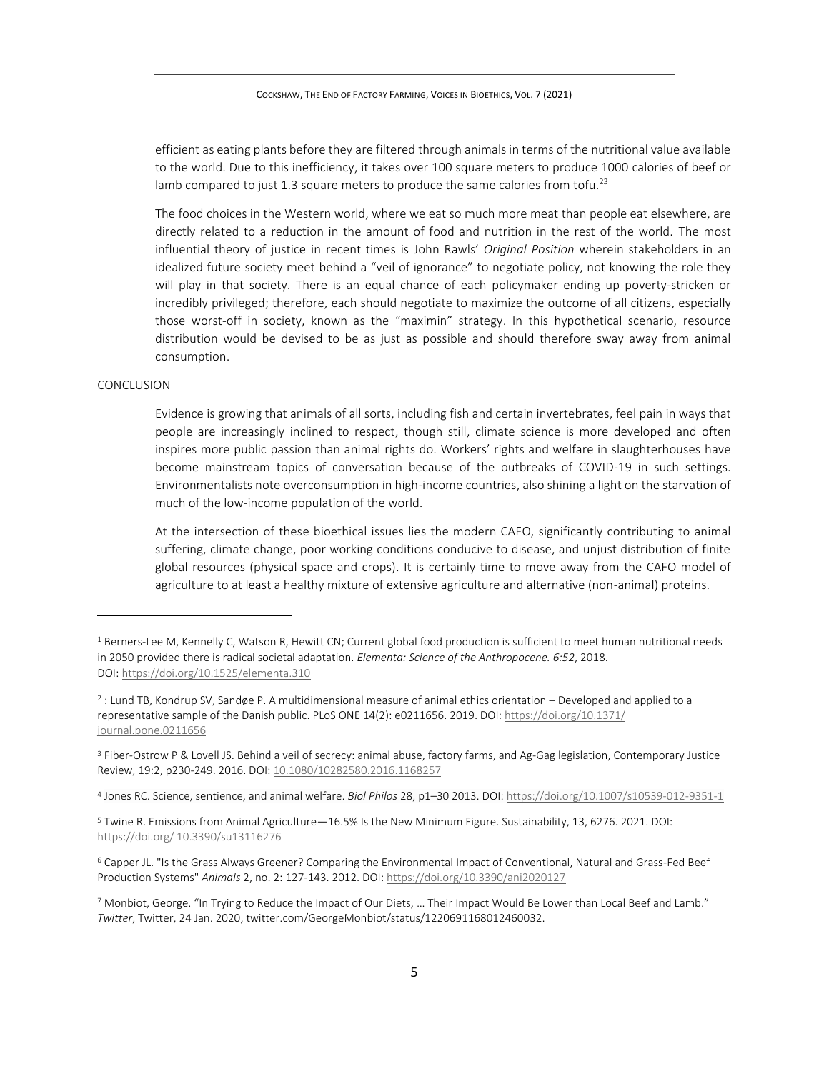efficient as eating plants before they are filtered through animals in terms of the nutritional value available to the world. Due to this inefficiency, it takes over 100 square meters to produce 1000 calories of beef or lamb compared to just 1.3 square meters to produce the same calories from tofu.<sup>23</sup>

The food choices in the Western world, where we eat so much more meat than people eat elsewhere, are directly related to a reduction in the amount of food and nutrition in the rest of the world. The most influential theory of justice in recent times is John Rawls' *Original Position* wherein stakeholders in an idealized future society meet behind a "veil of ignorance" to negotiate policy, not knowing the role they will play in that society. There is an equal chance of each policymaker ending up poverty-stricken or incredibly privileged; therefore, each should negotiate to maximize the outcome of all citizens, especially those worst-off in society, known as the "maximin" strategy. In this hypothetical scenario, resource distribution would be devised to be as just as possible and should therefore sway away from animal consumption.

### CONCLUSION

Evidence is growing that animals of all sorts, including fish and certain invertebrates, feel pain in ways that people are increasingly inclined to respect, though still, climate science is more developed and often inspires more public passion than animal rights do. Workers' rights and welfare in slaughterhouses have become mainstream topics of conversation because of the outbreaks of COVID-19 in such settings. Environmentalists note overconsumption in high-income countries, also shining a light on the starvation of much of the low-income population of the world.

At the intersection of these bioethical issues lies the modern CAFO, significantly contributing to animal suffering, climate change, poor working conditions conducive to disease, and unjust distribution of finite global resources (physical space and crops). It is certainly time to move away from the CAFO model of agriculture to at least a healthy mixture of extensive agriculture and alternative (non-animal) proteins.

4 Jones RC. Science, sentience, and animal welfare. *Biol Philos* 28, p1–30 2013. DOI: <https://doi.org/10.1007/s10539-012-9351-1>

<sup>5</sup> Twine R. Emissions from Animal Agriculture—16.5% Is the New Minimum Figure. Sustainability, 13, 6276. 2021. DOI: [https://doi.org/ 10.3390/su13116276](https://doi.org/%2010.3390/su13116276)

 $1$  Berners-Lee M, Kennelly C, Watson R, Hewitt CN; Current global food production is sufficient to meet human nutritional needs in 2050 provided there is radical societal adaptation. *Elementa: Science of the Anthropocene. 6:52*, 2018. DOI: <https://doi.org/10.1525/elementa.310>

<sup>2</sup> : Lund TB, Kondrup SV, Sandøe P. A multidimensional measure of animal ethics orientation – Developed and applied to a representative sample of the Danish public. PLoS ONE 14(2): e0211656. 2019. DOI: [https://doi.org/10.1371/](https://doi.org/10.1371/%20journal.pone.0211656)  [journal.pone.0211656](https://doi.org/10.1371/%20journal.pone.0211656)

<sup>3</sup> Fiber-Ostrow P & Lovell JS. Behind a veil of secrecy: animal abuse, factory farms, and Ag-Gag legislation, Contemporary Justice Review, 19:2, p230-249. 2016. DOI: [10.1080/10282580.2016.1168257](https://doi.org/10.1080/10282580.2016.1168257)

<sup>6</sup> Capper JL. "Is the Grass Always Greener? Comparing the Environmental Impact of Conventional, Natural and Grass-Fed Beef Production Systems" *Animals* 2, no. 2: 127-143. 2012. DOI:<https://doi.org/10.3390/ani2020127>

<sup>7</sup> Monbiot, George. "In Trying to Reduce the Impact of Our Diets, … Their Impact Would Be Lower than Local Beef and Lamb." *Twitter*, Twitter, 24 Jan. 2020, twitter.com/GeorgeMonbiot/status/1220691168012460032.